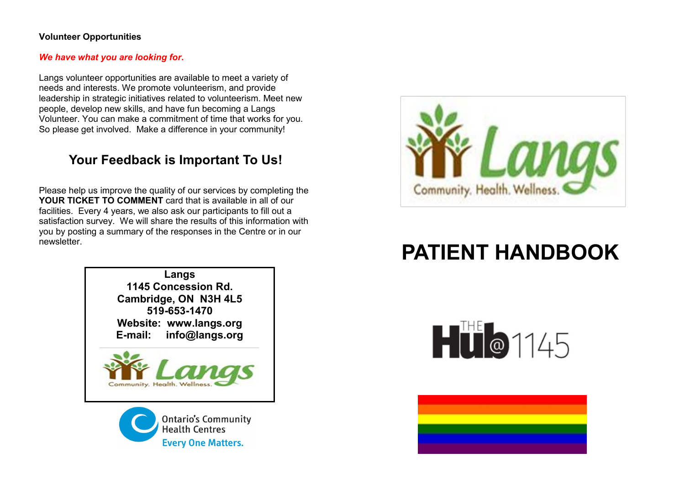#### **Volunteer Opportunities**

#### *We have what you are looking for***.**

Langs volunteer opportunities are available to meet a variety of needs and interests. We promote volunteerism, and provide leadership in strategic initiatives related to volunteerism. Meet new people, develop new skills, and have fun becoming a Langs Volunteer. You can make a commitment of time that works for you. So please get involved. Make a difference in your community!

### **Your Feedback is Important To Us!**

Please help us improve the quality of our services by completing the **YOUR TICKET TO COMMENT** card that is available in all of our facilities. Every 4 years, we also ask our participants to fill out a satisfaction survey. We will share the results of this information with you by posting a summary of the responses in the Centre or in our newsletter.







# **PATIENT HANDBOOK**



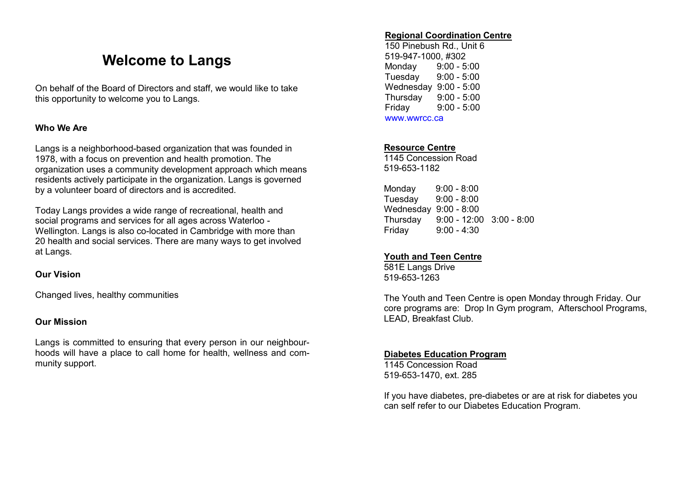## **Welcome to Langs**

On behalf of the Board of Directors and staff, we would like to take this opportunity to welcome you to Langs.

#### **Who We Are**

Langs is a neighborhood-based organization that was founded in 1978, with a focus on prevention and health promotion. The organization uses a community development approach which means residents actively participate in the organization. Langs is governed by a volunteer board of directors and is accredited.

Today Langs provides a wide range of recreational, health and social programs and services for all ages across Waterloo - Wellington. Langs is also co-located in Cambridge with more than 20 health and social services. There are many ways to get involved at Langs.

#### **Our Vision**

Changed lives, healthy communities

#### **Our Mission**

Langs is committed to ensuring that every person in our neighbourhoods will have a place to call home for health, wellness and community support.

#### **Regional Coordination Centre**

150 Pinebush Rd., Unit 6 519-947-1000, #302 Monday 9:00 - 5:00 Tuesday 9:00 - 5:00 Wednesday 9:00 - 5:00 Thursday 9:00 - 5:00 Friday 9:00 - 5:00 www.wwrcc.ca

#### **Resource Centre**

1145 Concession Road 519-653-1182

Monday 9:00 - 8:00 Tuesday 9:00 - 8:00 Wednesday 9:00 - 8:00 Thursday 9:00 - 12:00 3:00 - 8:00 Friday 9:00 - 4:30

#### **Youth and Teen Centre**

581E Langs Drive 519-653-1263

The Youth and Teen Centre is open Monday through Friday. Our core programs are: Drop In Gym program, Afterschool Programs, LEAD, Breakfast Club.

#### **Diabetes Education Program**

1145 Concession Road 519-653-1470, ext. 285

If you have diabetes, pre-diabetes or are at risk for diabetes you can self refer to our Diabetes Education Program.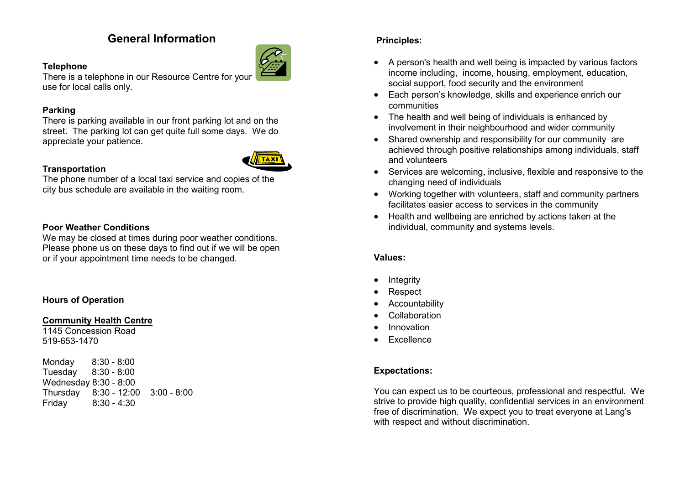### **General Information**



**Telephone** There is a telephone in our Resource Centre for your use for local calls only.

#### **Parking**

There is parking available in our front parking lot and on the street. The parking lot can get quite full some days. We do appreciate your patience.



**Transportation** The phone number of a local taxi service and copies of the city bus schedule are available in the waiting room.

#### **Poor Weather Conditions**

We may be closed at times during poor weather conditions. Please phone us on these days to find out if we will be open or if your appointment time needs to be changed.

#### **Hours of Operation**

#### **Community Health Centre**

1145 Concession Road 519-653-1470

Monday 8:30 - 8:00 Tuesday 8:30 - 8:00 Wednesday 8:30 - 8:00 Thursday 8:30 - 12:00 3:00 - 8:00 Friday 8:30 - 4:30

### **Principles:**

- A person's health and well being is impacted by various factors income including, income, housing, employment, education, social support, food security and the environment
- Each person's knowledge, skills and experience enrich our communities
- The health and well being of individuals is enhanced by involvement in their neighbourhood and wider community
- Shared ownership and responsibility for our community are achieved through positive relationships among individuals, staff and volunteers
- Services are welcoming, inclusive, flexible and responsive to the changing need of individuals
- Working together with volunteers, staff and community partners facilitates easier access to services in the community
- Health and wellbeing are enriched by actions taken at the individual, community and systems levels.

#### **Values:**

- **Integrity**
- Respect
- Accountability
- **Collaboration**
- Innovation
- Excellence

#### **Expectations:**

You can expect us to be courteous, professional and respectful. We strive to provide high quality, confidential services in an environment free of discrimination. We expect you to treat everyone at Lang's with respect and without discrimination.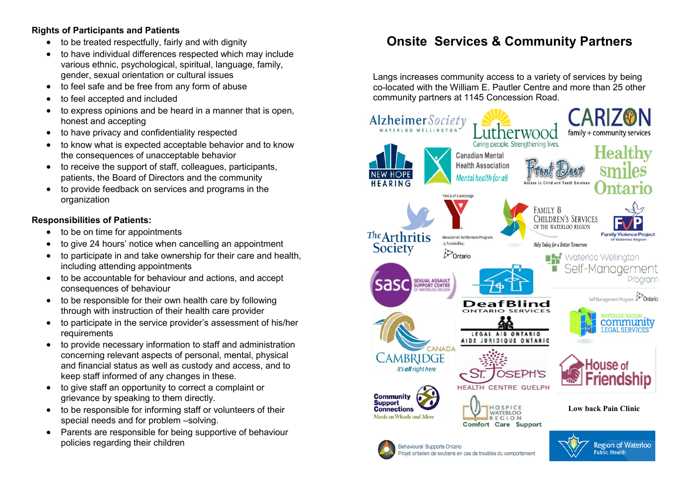### **Rights of Participants and Patients**

- to be treated respectfully, fairly and with dignity
- to have individual differences respected which may include various ethnic, psychological, spiritual, language, family, gender, sexual orientation or cultural issues
- to feel safe and be free from any form of abuse
- to feel accepted and included
- to express opinions and be heard in a manner that is open, honest and accepting
- to have privacy and confidentiality respected
- to know what is expected acceptable behavior and to know the consequences of unacceptable behavior
- to receive the support of staff, colleagues, participants, patients, the Board of Directors and the community
- to provide feedback on services and programs in the organization

#### **Responsibilities of Patients:**

- to be on time for appointments
- to give 24 hours' notice when cancelling an appointment
- to participate in and take ownership for their care and health, including attending appointments
- to be accountable for behaviour and actions, and accept consequences of behaviour
- to be responsible for their own health care by following through with instruction of their health care provider
- to participate in the service provider's assessment of his/her requirements
- to provide necessary information to staff and administration concerning relevant aspects of personal, mental, physical and financial status as well as custody and access, and to keep staff informed of any changes in these.
- to give staff an opportunity to correct a complaint or grievance by speaking to them directly.
- to be responsible for informing staff or volunteers of their special needs and for problem –solving.
- Parents are responsible for being supportive of behaviour policies regarding their children

### **Onsite Services & Community Partners**

Langs increases community access to a variety of services by being co-located with the William E. Pautler Centre and more than 25 other community partners at 1145 Concession Road.

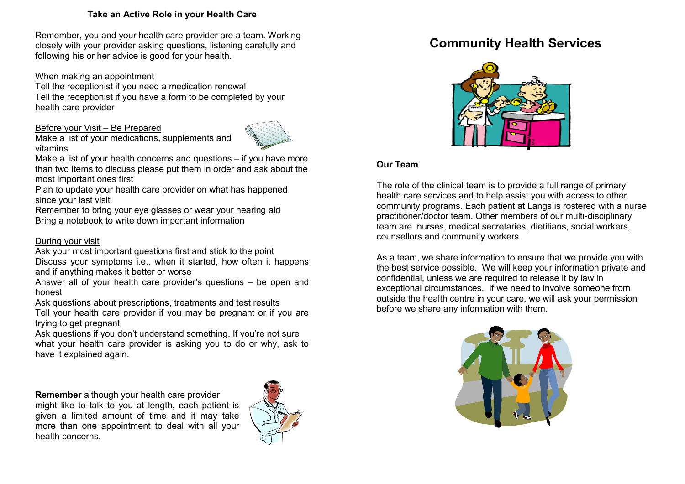#### **Take an Active Role in your Health Care**

Remember, you and your health care provider are a team. Working closely with your provider asking questions, listening carefully and following his or her advice is good for your health.

#### When making an appointment

Tell the receptionist if you need a medication renewal Tell the receptionist if you have a form to be completed by your health care provider

#### Before your Visit – Be Prepared

Make a list of your medications, supplements and vitamins



Make a list of your health concerns and questions – if you have more than two items to discuss please put them in order and ask about the most important ones first

Plan to update your health care provider on what has happened since your last visit

Remember to bring your eye glasses or wear your hearing aid Bring a notebook to write down important information

#### During your visit

Ask your most important questions first and stick to the point Discuss your symptoms i.e., when it started, how often it happens and if anything makes it better or worse

Answer all of your health care provider's questions – be open and honest

Ask questions about prescriptions, treatments and test results

Tell your health care provider if you may be pregnant or if you are trying to get pregnant

Ask questions if you don't understand something. If you're not sure what your health care provider is asking you to do or why, ask to have it explained again.

**Remember** although your health care provider might like to talk to you at length, each patient is given a limited amount of time and it may take more than one appointment to deal with all your health concerns.



### **Community Health Services**



#### **Our Team**

The role of the clinical team is to provide a full range of primary health care services and to help assist you with access to other community programs. Each patient at Langs is rostered with a nurse practitioner/doctor team. Other members of our multi-disciplinary team are nurses, medical secretaries, dietitians, social workers, counsellors and community workers.

As a team, we share information to ensure that we provide you with the best service possible. We will keep your information private and confidential, unless we are required to release it by law in exceptional circumstances. If we need to involve someone from outside the health centre in your care, we will ask your permission before we share any information with them.

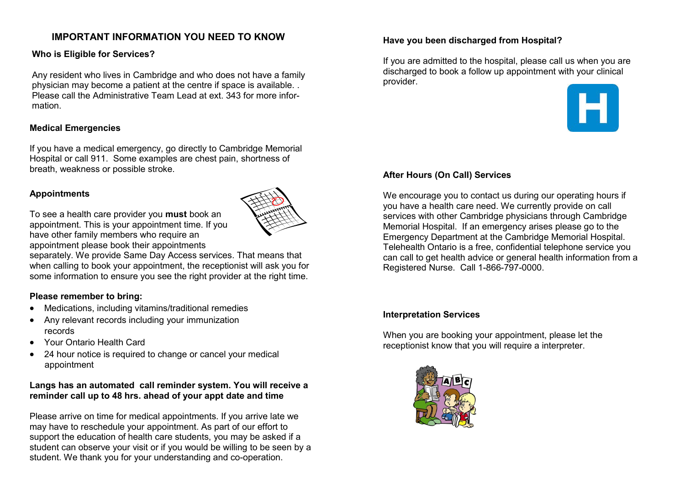### **IMPORTANT INFORMATION YOU NEED TO KNOW**

#### **Who is Eligible for Services?**

Any resident who lives in Cambridge and who does not have a family physician may become a patient at the centre if space is available. . Please call the Administrative Team Lead at ext. 343 for more information.

#### **Medical Emergencies**

If you have a medical emergency, go directly to Cambridge Memorial Hospital or call 911. Some examples are chest pain, shortness of breath, weakness or possible stroke.

#### **Appointments**

To see a health care provider you **must** book an appointment. This is your appointment time. If you have other family members who require an appointment please book their appointments

separately. We provide Same Day Access services. That means that when calling to book your appointment, the receptionist will ask you for some information to ensure you see the right provider at the right time.

#### **Please remember to bring:**

- Medications, including vitamins/traditional remedies
- Any relevant records including your immunization records
- Your Ontario Health Card
- 24 hour notice is required to change or cancel your medical appointment

#### **Langs has an automated call reminder system. You will receive a reminder call up to 48 hrs. ahead of your appt date and time**

Please arrive on time for medical appointments. If you arrive late we may have to reschedule your appointment. As part of our effort to support the education of health care students, you may be asked if a student can observe your visit or if you would be willing to be seen by a student. We thank you for your understanding and co-operation.

#### **Have you been discharged from Hospital?**

If you are admitted to the hospital, please call us when you are discharged to book a follow up appointment with your clinical provider.



#### **After Hours (On Call) Services**

We encourage you to contact us during our operating hours if you have a health care need. We currently provide on call services with other Cambridge physicians through Cambridge Memorial Hospital. If an emergency arises please go to the Emergency Department at the Cambridge Memorial Hospital. Telehealth Ontario is a free, confidential telephone service you can call to get health advice or general health information from a Registered Nurse. Call 1-866-797-0000.

#### **Interpretation Services**

When you are booking your appointment, please let the receptionist know that you will require a interpreter.